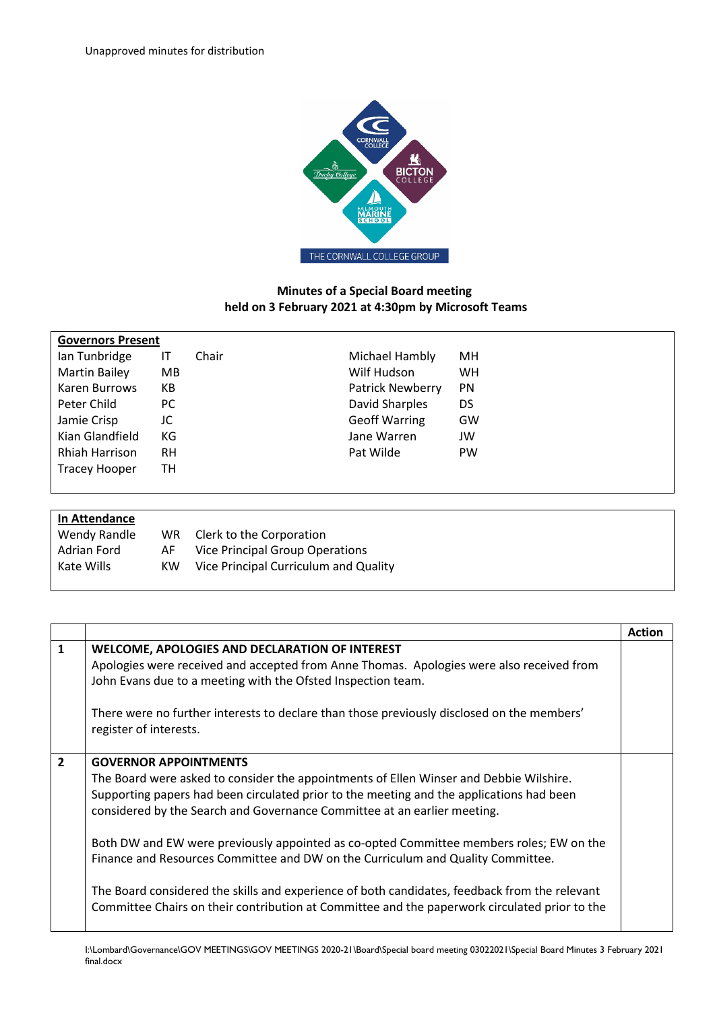

## **Minutes of a Special Board meeting held on 3 February 2021 at 4:30pm by Microsoft Teams**

| <b>Governors Present</b> |           |       |                         |           |
|--------------------------|-----------|-------|-------------------------|-----------|
| lan Tunbridge            | IT        | Chair | Michael Hambly          | MН        |
| <b>Martin Bailey</b>     | MB.       |       | Wilf Hudson             | <b>WH</b> |
| Karen Burrows            | КB        |       | <b>Patrick Newberry</b> | <b>PN</b> |
| Peter Child              | PC.       |       | David Sharples          | <b>DS</b> |
| Jamie Crisp              | JC        |       | <b>Geoff Warring</b>    | GW        |
| Kian Glandfield          | КG        |       | Jane Warren             | JW        |
| Rhiah Harrison           | <b>RH</b> |       | Pat Wilde               | <b>PW</b> |
| <b>Tracey Hooper</b>     | TН        |       |                         |           |
|                          |           |       |                         |           |

| In Attendance |     |                                       |
|---------------|-----|---------------------------------------|
| Wendy Randle  | WR. | Clerk to the Corporation              |
| Adrian Ford   | AF  | Vice Principal Group Operations       |
| Kate Wills    | KW. | Vice Principal Curriculum and Quality |
|               |     |                                       |

|                |                                                                                                                                                                                                                                                                                                                                                                              | <b>Action</b> |
|----------------|------------------------------------------------------------------------------------------------------------------------------------------------------------------------------------------------------------------------------------------------------------------------------------------------------------------------------------------------------------------------------|---------------|
| $\mathbf{1}$   | <b>WELCOME, APOLOGIES AND DECLARATION OF INTEREST</b><br>Apologies were received and accepted from Anne Thomas. Apologies were also received from<br>John Evans due to a meeting with the Ofsted Inspection team.<br>There were no further interests to declare than those previously disclosed on the members'<br>register of interests.                                    |               |
| $\overline{2}$ | <b>GOVERNOR APPOINTMENTS</b><br>The Board were asked to consider the appointments of Ellen Winser and Debbie Wilshire.<br>Supporting papers had been circulated prior to the meeting and the applications had been<br>considered by the Search and Governance Committee at an earlier meeting.                                                                               |               |
|                | Both DW and EW were previously appointed as co-opted Committee members roles; EW on the<br>Finance and Resources Committee and DW on the Curriculum and Quality Committee.<br>The Board considered the skills and experience of both candidates, feedback from the relevant<br>Committee Chairs on their contribution at Committee and the paperwork circulated prior to the |               |